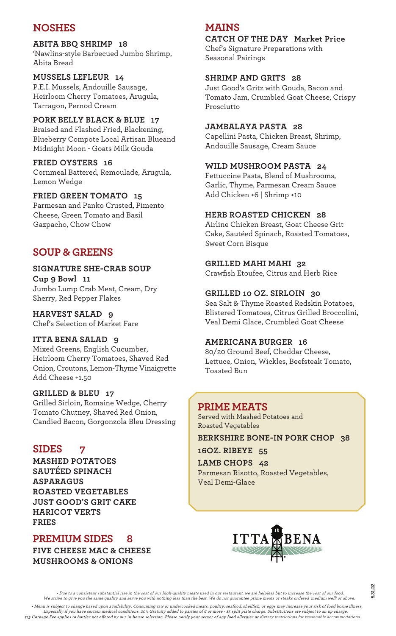# **NOSHES**

## **ABITA BBQ SHRIMP 18**

'Nawlins-style Barbecued Jumbo Shrimp, Abita Bread

## **MUSSELS LEFLEUR 14**

P.E.I. Mussels, Andouille Sausage, Heirloom Cherry Tomatoes, Arugula, Tarragon, Pernod Cream

**PORK BELLY BLACK & BLUE 17** Braised and Flashed Fried, Blackening, Blueberry Compote Local Artisan Blueand Midnight Moon - Goats Milk Gouda

# **FRIED OYSTERS 16**

Cornmeal Battered, Remoulade, Arugula, Lemon Wedge

## **FRIED GREEN TOMATO 15**

Parmesan and Panko Crusted, Pimento Cheese, Green Tomato and Basil Gazpacho, Chow Chow

# **SOUP & GREENS**

## **SIGNATURE SHE-CRAB SOUP**

**Cup 9 Bowl 11** Jumbo Lump Crab Meat, Cream, Dry Sherry, Red Pepper Flakes

**HARVEST SALAD 9** Chef's Selection of Market Fare

## **ITTA BENA SALAD 9**

Mixed Greens, English Cucumber, Heirloom Cherry Tomatoes, Shaved Red Onion, Croutons, Lemon-Thyme Vinaigrette Add Cheese +1.50

#### **GRILLED & BLEU 17**

Grilled Sirloin, Romaine Wedge, Cherry Tomato Chutney, Shaved Red Onion, Candied Bacon, Gorgonzola Bleu Dressing

# **SIDES 7**

**MASHED POTATOES SAUTÉED SPINACH ASPARAGUS ROASTED VEGETABLES JUST GOOD'S GRIT CAKE HARICOT VERTS FRIES**

# **PREMIUM SIDES 8**

**FIVE CHEESE MAC & CHEESE MUSHROOMS & ONIONS**

# **MAINS**

# **CATCH OF THE DAY Market Price**

Chef's Signature Preparations with Seasonal Pairings

## **SHRIMP AND GRITS 28**

Just Good's Gritz with Gouda, Bacon and Tomato Jam, Crumbled Goat Cheese, Crispy Prosciutto

#### **JAMBALAYA PASTA 28**

Capellini Pasta, Chicken Breast, Shrimp, Andouille Sausage, Cream Sauce

## **WILD MUSHROOM PASTA 24**

Fettuccine Pasta, Blend of Mushrooms, Garlic, Thyme, Parmesan Cream Sauce Add Chicken +6 | Shrimp +10

## **HERB ROASTED CHICKEN 28**

Airline Chicken Breast, Goat Cheese Grit Cake, Sautéed Spinach, Roasted Tomatoes, Sweet Corn Bisque

#### **GRILLED MAHI MAHI 32**

Crawfish Etoufee, Citrus and Herb Rice

## **GRILLED 10 OZ. SIRLOIN 30**

Sea Salt & Thyme Roasted Redskin Potatoes, Blistered Tomatoes, Citrus Grilled Broccolini, Veal Demi Glace, Crumbled Goat Cheese

## **AMERICANA BURGER 16**

80/20 Ground Beef, Cheddar Cheese, Lettuce, Onion, Wickles, Beefsteak Tomato, Toasted Bun

## **PRIME MEATS**

Served with Mashed Potatoes and Roasted Vegetables

#### **BERKSHIRE BONE-IN PORK CHOP 38**

**16OZ. RIBEYE 55**

**LAMB CHOPS 42** Parmesan Risotto, Roasted Vegetables, Veal Demi-Glace



• Due to a consistent substantial rise in the cost of our high-quality meats used in our restaurant, we are helpless but to increase the cost of our food. We strive to give you the same quality and serve you with nothing less than the best. We do not guarantee prime meats or steaks ordered 'medium well' or above. • Menu is subject to change based upon availability. Consuming raw or undercooked meats, poultry, seafood, shellfish, or eggs may increase your risk of food borne illness, Especially if you have certain medical conditions. 20% Gratuity added to parties of 6 or more - \$5 split plate charge. Substitutions are subject to an up charge. tary restrictions for reasonable accommodations.